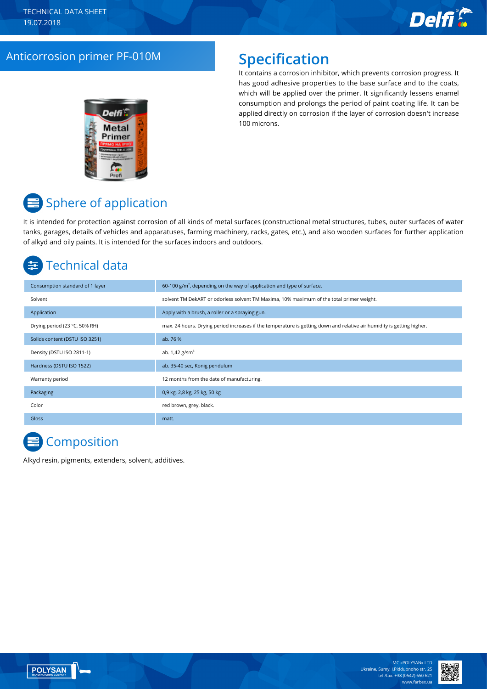

## Anticorrosion primer PF-010M **Specification**

It contains a corrosion inhibitor, which prevents corrosion progress. It has good adhesive properties to the base surface and to the coats, which will be applied over the primer. It significantly lessens enamel consumption and prolongs the period of paint coating life. It can be applied directly on corrosion if the layer of corrosion doesn't increase 100 microns.



# **■ Sphere of application**

It is intended for protection against corrosion of all kinds of metal surfaces (constructional metal structures, tubes, outer surfaces of water tanks, garages, details of vehicles and apparatuses, farming machinery, racks, gates, etc.), and also wooden surfaces for further application of alkyd and oily paints. It is intended for the surfaces indoors and outdoors.

# Technical data

| Consumption standard of 1 layer | 60-100 $g/m2$ , depending on the way of application and type of surface.                                               |
|---------------------------------|------------------------------------------------------------------------------------------------------------------------|
| Solvent                         | solvent TM DekART or odorless solvent TM Maxima, 10% maximum of the total primer weight.                               |
| Application                     | Apply with a brush, a roller or a spraying gun.                                                                        |
| Drying period (23 °C, 50% RH)   | max. 24 hours. Drying period increases if the temperature is getting down and relative air humidity is getting higher. |
| Solids content (DSTU ISO 3251)  | ab. 76 %                                                                                                               |
| Density (DSTU ISO 2811-1)       | ab. $1,42$ g/sm <sup>3</sup>                                                                                           |
| Hardness (DSTU ISO 1522)        | ab. 35-40 sec, Konig pendulum                                                                                          |
| Warranty period                 | 12 months from the date of manufacturing.                                                                              |
| Packaging                       | 0,9 kg, 2,8 kg, 25 kg, 50 kg                                                                                           |
| Color                           | red brown, grey, black.                                                                                                |
| Gloss                           | matt.                                                                                                                  |

# **Composition**

Alkyd resin, pigments, extenders, solvent, additives.